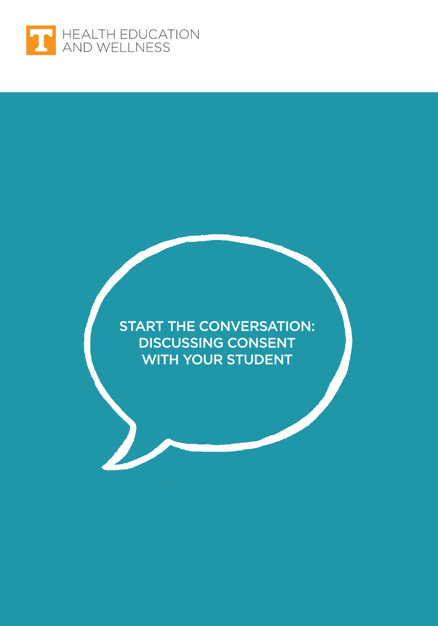

START THE CONVERSATION: DISCUSSING CONSENT WITH YOUR STUDENT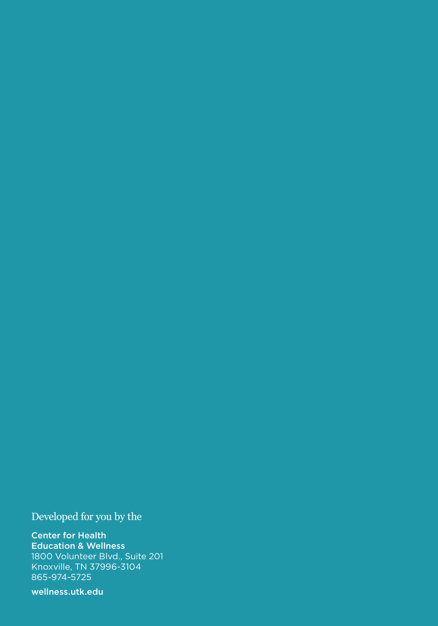Developed for you by the

Center for Health Education & Wellness 1800 Volunteer Blvd., Suite 201 Knoxville, TN 37996-3104 865-974-5725

[wellness.utk.edu](http://wellness.utk.edu)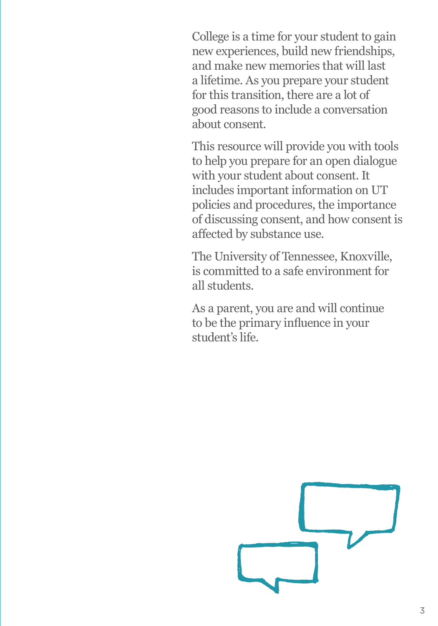College is a time for your student to gain new experiences, build new friendships, and make new memories that will last a lifetime. As you prepare your student for this transition, there are a lot of good reasons to include a conversation about consent.

This resource will provide you with tools to help you prepare for an open dialogue with your student about consent. It includes important information on UT policies and procedures, the importance of discussing consent, and how consent is affected by substance use.

The University of Tennessee, Knoxville, is committed to a safe environment for all students.

As a parent, you are and will continue to be the primary influence in your student's life.

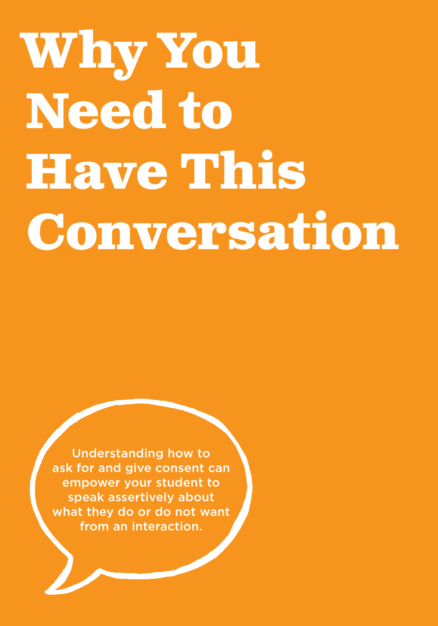# **Why You Need to Have This Conversation**

Understanding how to ask for and give consent can empower your student to speak assertively about what they do or do not want from an interaction.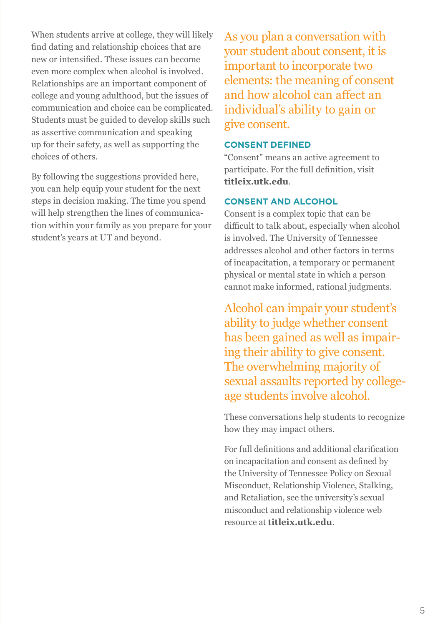When students arrive at college, they will likely find dating and relationship choices that are new or intensified. These issues can become even more complex when alcohol is involved. Relationships are an important component of college and young adulthood, but the issues of communication and choice can be complicated. Students must be guided to develop skills such as assertive communication and speaking up for their safety, as well as supporting the choices of others.

By following the suggestions provided here, you can help equip your student for the next steps in decision making. The time you spend will help strengthen the lines of communication within your family as you prepare for your student's years at UT and beyond.

As you plan a conversation with your student about consent, it is important to incorporate two elements: the meaning of consent and how alcohol can affect an individual's ability to gain or give consent.

### **CONSENT DEFINED**

"Consent" means an active agreement to participate. For the full definition, visit **[titleix.utk.edu](http://titleix.utk.edu)**.

#### **CONSENT AND ALCOHOL**

Consent is a complex topic that can be difficult to talk about, especially when alcohol is involved. The University of Tennessee addresses alcohol and other factors in terms of incapacitation, a temporary or permanent physical or mental state in which a person cannot make informed, rational judgments.

Alcohol can impair your student's ability to judge whether consent has been gained as well as impairing their ability to give consent. The overwhelming majority of sexual assaults reported by collegeage students involve alcohol.

These conversations help students to recognize how they may impact others.

For full definitions and additional clarification on incapacitation and consent as defined by the University of Tennessee Policy on Sexual Misconduct, Relationship Violence, Stalking, and Retaliation, see the university's sexual misconduct and relationship violence web resource at **[titleix.utk.edu](http://titleix.utk.edu)**.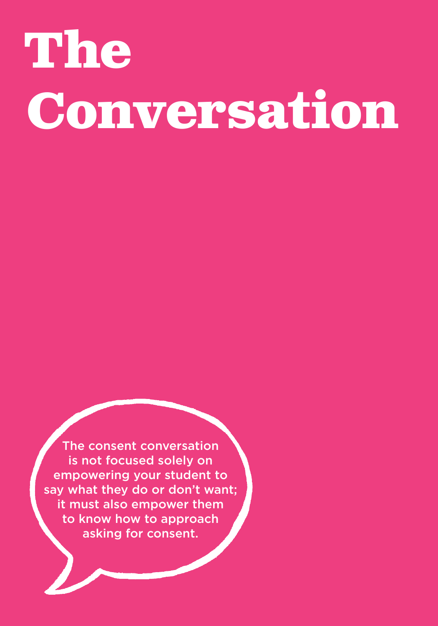# **The Conversation**

The consent conversation is not focused solely on empowering your student to say what they do or don't want; it must also empower them to know how to approach asking for consent.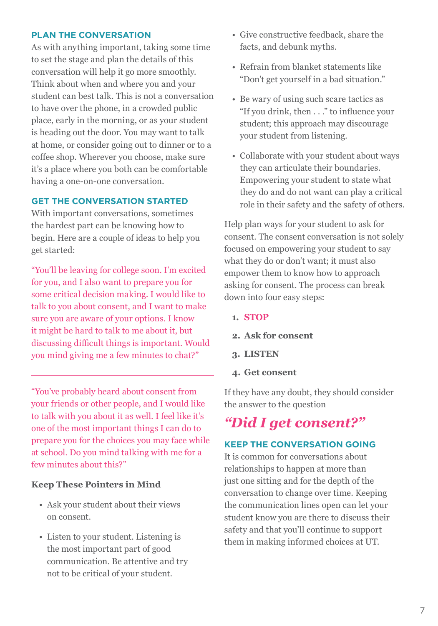#### **PLAN THE CONVERSATION**

As with anything important, taking some time to set the stage and plan the details of this conversation will help it go more smoothly. Think about when and where you and your student can best talk. This is not a conversation to have over the phone, in a crowded public place, early in the morning, or as your student is heading out the door. You may want to talk at home, or consider going out to dinner or to a coffee shop. Wherever you choose, make sure it's a place where you both can be comfortable having a one-on-one conversation.

#### **GET THE CONVERSATION STARTED**

With important conversations, sometimes the hardest part can be knowing how to begin. Here are a couple of ideas to help you get started:

"You'll be leaving for college soon. I'm excited for you, and I also want to prepare you for some critical decision making. I would like to talk to you about consent, and I want to make sure you are aware of your options. I know it might be hard to talk to me about it, but discussing difficult things is important. Would you mind giving me a few minutes to chat?"

"You've probably heard about consent from your friends or other people, and I would like to talk with you about it as well. I feel like it's one of the most important things I can do to prepare you for the choices you may face while at school. Do you mind talking with me for a few minutes about this?"

#### **Keep These Pointers in Mind**

- Ask your student about their views on consent.
- Listen to your student. Listening is the most important part of good communication. Be attentive and try not to be critical of your student.
- Give constructive feedback, share the facts, and debunk myths.
- Refrain from blanket statements like "Don't get yourself in a bad situation."
- Be wary of using such scare tactics as "If you drink, then . . ." to influence your student; this approach may discourage your student from listening.
- Collaborate with your student about ways they can articulate their boundaries. Empowering your student to state what they do and do not want can play a critical role in their safety and the safety of others.

Help plan ways for your student to ask for consent. The consent conversation is not solely focused on empowering your student to say what they do or don't want; it must also empower them to know how to approach asking for consent. The process can break down into four easy steps:

- **1. STOP**
- **2. Ask for consent**
- **3. LISTEN**
- **4. Get consent**

If they have any doubt, they should consider the answer to the question

## *"Did I get consent?"*

### **KEEP THE CONVERSATION GOING**

It is common for conversations about relationships to happen at more than just one sitting and for the depth of the conversation to change over time. Keeping the communication lines open can let your student know you are there to discuss their safety and that you'll continue to support them in making informed choices at UT.